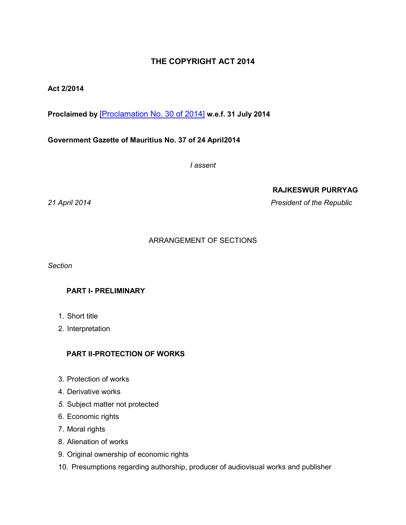# **THE COPYRIGHT ACT 2014**

# **Act 2/2014**

**Proclaimed by** [\[Proclamation No. 30 of 2014\]](https://supremecourt.govmu.org/get-doc-link/Proclamation_No._30_of_2014) **w.e.f. 31 July 2014**

**Government Gazette of Mauritius No. 37 of 24 April2014**

*I assent*

**RAJKESWUR PURRYAG**

*21 April 2014 President of the Republic*

# ARRANGEMENT OF SECTIONS

*Section*

# **PART I- PRELIMINARY**

- 1. Short title
- 2. Interpretation

## **PART II-PROTECTION OF WORKS**

- 3. Protection of works
- 4. Derivative works
- *5.* Subject matter not protected
- 6. Economic rights
- 7. Moral rights
- 8. Alienation of works
- 9. Original ownership of economic rights
- 10. Presumptions regarding authorship, producer of audiovisual works and publisher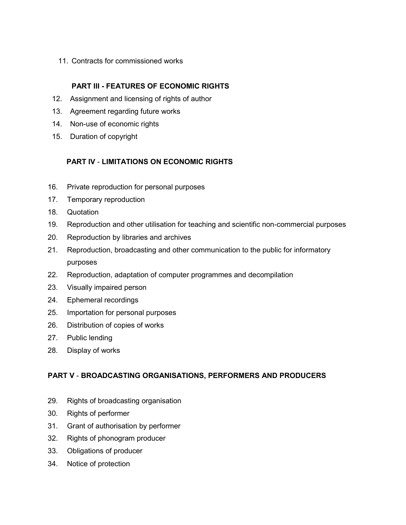11. Contracts for commissioned works

# **PART III - FEATURES OF ECONOMIC RIGHTS**

- 12. Assignment and licensing of rights of author
- 13. Agreement regarding future works
- 14. Non-use of economic rights
- 15. Duration of copyright

# **PART IV** - **LIMITATIONS ON ECONOMIC RIGHTS**

- 16. Private reproduction for personal purposes
- 17. Temporary reproduction
- 18. Quotation
- 19. Reproduction and other utilisation for teaching and scientific non-commercial purposes
- 20. Reproduction by libraries and archives
- 21. Reproduction, broadcasting and other communication to the public for informatory purposes
- 22. Reproduction, adaptation of computer programmes and decompilation
- 23. Visually impaired person
- 24. Ephemeral recordings
- 25. Importation for personal purposes
- 26. Distribution of copies of works
- 27. Public lending
- 28. Display of works

# **PART V** - **BROADCASTING ORGANISATIONS, PERFORMERS AND PRODUCERS**

- 29. Rights of broadcasting organisation
- 30. Rights of performer
- 31. Grant of authorisation by performer
- 32. Rights of phonogram producer
- 33. Obligations of producer
- 34. Notice of protection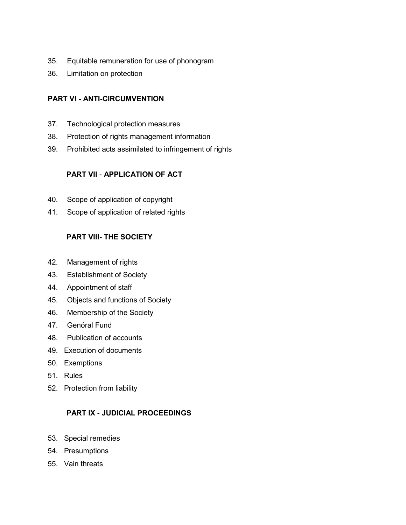- 35. Equitable remuneration for use of phonogram
- 36. Limitation on protection

# **PART VI - ANTI-CIRCUMVENTION**

- 37. Technological protection measures
- 38. Protection of rights management information
- 39. Prohibited acts assimilated to infringement of rights

# **PART VII** - **APPLICATION OF ACT**

- 40. Scope of application of copyright
- 41. Scope of application of related rights

# **PART VIII- THE SOCIETY**

- 42. Management of rights
- 43. Establishment of Society
- 44. Appointment of staff
- 45. Objects and functions of Society
- 46. Membership of the Society
- 47. Genóral Fund
- 48. Publication of accounts
- 49. Execution of documents
- 50. Exemptions
- 51. Rules
- 52. Protection from liability

# **PART IX** - **JUDICIAL PROCEEDINGS**

- 53. Special remedies
- 54*.* Presumptions
- 55. Vain threats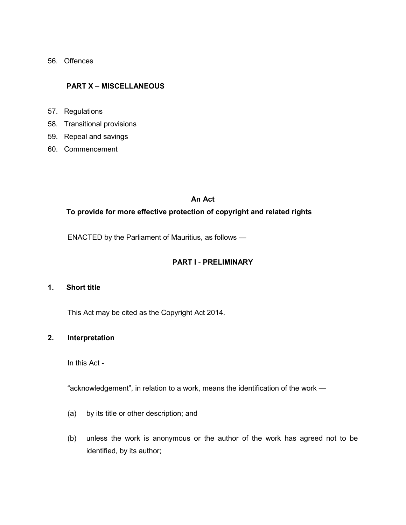56*.* Offences

## **PART X** – **MISCELLANEOUS**

- 57. Regulations
- 58*.* Transitional provisions
- 59. Repeal and savings
- 60. Commencement

### **An Act**

# **To provide for more effective protection of copyright and related rights**

ENACTED by the Parliament of Mauritius, as follows —

## **PART I** - **PRELIMINARY**

### **1. Short title**

This Act may be cited as the Copyright Act 2014.

## **2. Interpretation**

In this Act -

"acknowledgement", in relation to a work, means the identification of the work —

- (a) by its title or other description; and
- (b) unless the work is anonymous or the author of the work has agreed not to be identified, by its author;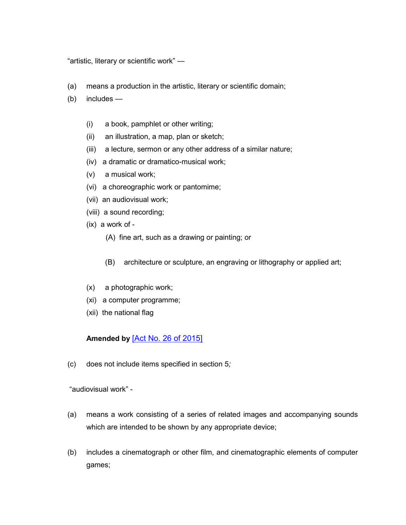"artistic, literary or scientific work" —

- (a) means a production in the artistic, literary or scientific domain;
- (b) includes
	- (i) a book, pamphlet or other writing;
	- (ii) an illustration, a map, plan or sketch;
	- (iii) a lecture, sermon or any other address of a similar nature;
	- (iv) a dramatic or dramatico-musical work;
	- (v) a musical work;
	- (vi) a choreographic work or pantomime;
	- (vii) an audiovisual work;
	- (viii) a sound recording;
	- (ix) a work of
		- (A) fine art, such as a drawing or painting; or
		- (B) architecture or sculpture, an engraving or lithography or applied art;
	- (x) a photographic work;
	- (xi) a computer programme;
	- (xii) the national flag

# **Amended by** [\[Act No. 26 of 2015\]](https://supremecourt.govmu.org/get-doc-link/Act_No._26_of_2015)

(c) does not include items specified in section 5*;*

"audiovisual work" -

- (a) means a work consisting of a series of related images and accompanying sounds which are intended to be shown by any appropriate device;
- (b) includes a cinematograph or other film, and cinematographic elements of computer games;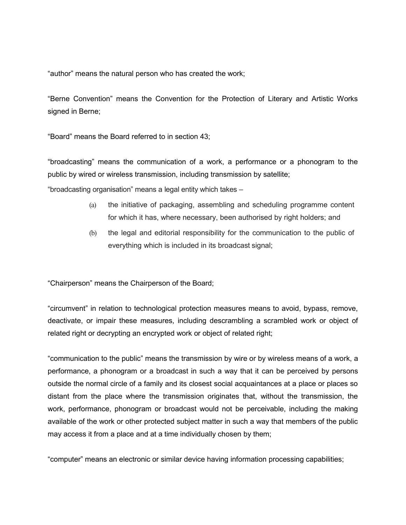"author" means the natural person who has created the work;

"Berne Convention" means the Convention for the Protection of Literary and Artistic Works signed in Berne;

"Board" means the Board referred to in section 43;

"broadcasting" means the communication of a work, a performance or a phonogram to the public by wired or wireless transmission, including transmission by satellite;

"broadcasting organisation" means a legal entity which takes –

- (a) the initiative of packaging, assembling and scheduling programme content for which it has, where necessary, been authorised by right holders; and
- (b) the legal and editorial responsibility for the communication to the public of everything which is included in its broadcast signal;

"Chairperson" means the Chairperson of the Board;

"circumvent" in relation to technological protection measures means to avoid, bypass, remove, deactivate, or impair these measures, including descrambling a scrambled work or object of related right or decrypting an encrypted work or object of related right;

"communication to the public" means the transmission by wire or by wireless means of a work, a performance, a phonogram or a broadcast in such a way that it can be perceived by persons outside the normal circle of a family and its closest social acquaintances at a place or places so distant from the place where the transmission originates that, without the transmission, the work, performance, phonogram or broadcast would not be perceivable, including the making available of the work or other protected subject matter in such a way that members of the public may access it from a place and at a time individually chosen by them;

"computer" means an electronic or similar device having information processing capabilities;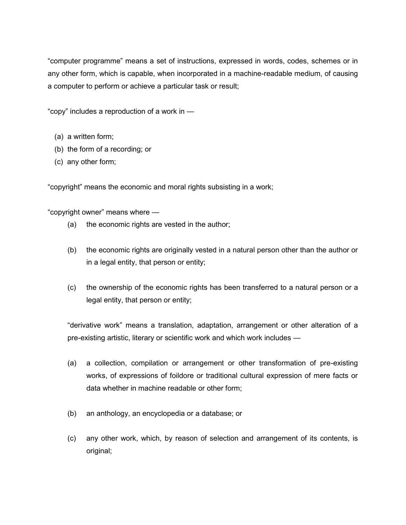"computer programme" means a set of instructions, expressed in words, codes, schemes or in any other form, which is capable, when incorporated in a machine-readable medium, of causing a computer to perform or achieve a particular task or result;

"copy" includes a reproduction of a work in —

- (a) a written form;
- (b) the form of a recording; or
- (c) any other form;

"copyright" means the economic and moral rights subsisting in a work;

"copyright owner" means where —

- (a) the economic rights are vested in the author;
- (b) the economic rights are originally vested in a natural person other than the author or in a legal entity, that person or entity;
- (c) the ownership of the economic rights has been transferred to a natural person or a legal entity, that person or entity;

"derivative work" means a translation, adaptation, arrangement or other alteration of a pre-existing artistic, literary or scientific work and which work includes —

- (a) a collection, compilation or arrangement or other transformation of pre-existing works, of expressions of foildore or traditional cultural expression of mere facts or data whether in machine readable or other form;
- (b) an anthology, an encyclopedia or a database; or
- (c) any other work, which, by reason of selection and arrangement of its contents, is original;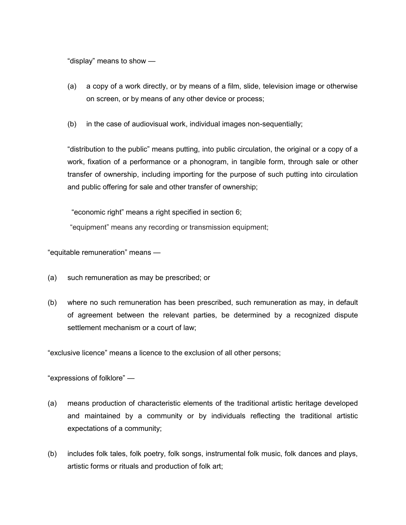"display" means to show —

- (a) a copy of a work directly, or by means of a film, slide, television image or otherwise on screen, or by means of any other device or process;
- (b) in the case of audiovisual work, individual images non-sequentially;

"distribution to the public" means putting, into public circulation, the original or a copy of a work, fixation of a performance or a phonogram, in tangible form, through sale or other transfer of ownership, including importing for the purpose of such putting into circulation and public offering for sale and other transfer of ownership;

"economic right" means a right specified in section 6;

"equipment" means any recording or transmission equipment;

"equitable remuneration" means —

- (a) such remuneration as may be prescribed; or
- (b) where no such remuneration has been prescribed, such remuneration as may, in default of agreement between the relevant parties, be determined by a recognized dispute settlement mechanism or a court of law;

"exclusive licence" means a licence to the exclusion of all other persons;

"expressions of folklore" —

- (a) means production of characteristic elements of the traditional artistic heritage developed and maintained by a community or by individuals reflecting the traditional artistic expectations of a community;
- (b) includes folk tales, folk poetry, folk songs, instrumental folk music, folk dances and plays, artistic forms or rituals and production of folk art;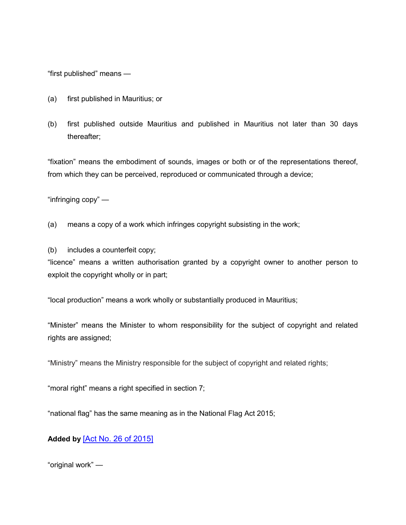"first published" means —

- (a) first published in Mauritius; or
- (b) first published outside Mauritius and published in Mauritius not later than 30 days thereafter;

"fixation" means the embodiment of sounds, images or both or of the representations thereof, from which they can be perceived, reproduced or communicated through a device;

"infringing copy" —

(a) means a copy of a work which infringes copyright subsisting in the work;

(b) includes a counterfeit copy;

"licence" means a written authorisation granted by a copyright owner to another person to exploit the copyright wholly or in part;

"local production" means a work wholly or substantially produced in Mauritius;

"Minister" means the Minister to whom responsibility for the subject of copyright and related rights are assigned;

"Ministry" means the Ministry responsible for the subject of copyright and related rights;

"moral right" means a right specified in section 7;

"national flag" has the same meaning as in the National Flag Act 2015;

**Added by** [\[Act No. 26 of 2015\]](https://supremecourt.govmu.org/get-doc-link/Act_No._26_of_2015)

"original work" —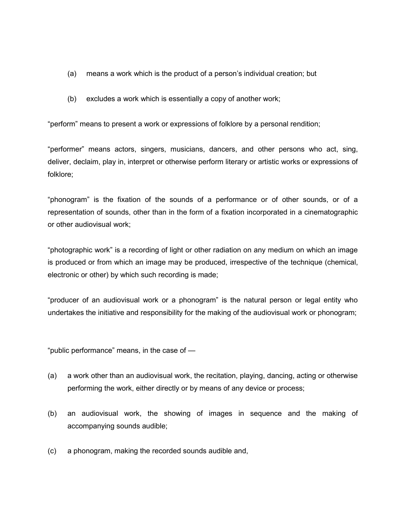- (a) means a work which is the product of a person's individual creation; but
- (b) excludes a work which is essentially a copy of another work;

"perform" means to present a work or expressions of folklore by a personal rendition;

"performer" means actors, singers, musicians, dancers, and other persons who act, sing, deliver, declaim, play in, interpret or otherwise perform literary or artistic works or expressions of folklore;

"phonogram" is the fixation of the sounds of a performance or of other sounds, or of a representation of sounds, other than in the form of a fixation incorporated in a cinematographic or other audiovisual work;

"photographic work" is a recording of light or other radiation on any medium on which an image is produced or from which an image may be produced, irrespective of the technique (chemical, electronic or other) by which such recording is made;

"producer of an audiovisual work or a phonogram" is the natural person or legal entity who undertakes the initiative and responsibility for the making of the audiovisual work or phonogram;

"public performance" means, in the case of —

- (a) a work other than an audiovisual work, the recitation, playing, dancing, acting or otherwise performing the work, either directly or by means of any device or process;
- (b) an audiovisual work, the showing of images in sequence and the making of accompanying sounds audible;
- (c) a phonogram, making the recorded sounds audible and,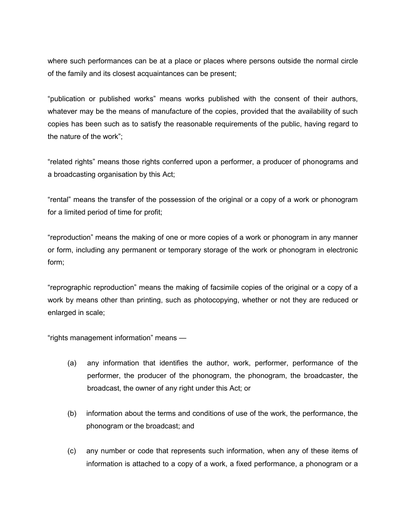where such performances can be at a place or places where persons outside the normal circle of the family and its closest acquaintances can be present;

"publication or published works" means works published with the consent of their authors, whatever may be the means of manufacture of the copies, provided that the availability of such copies has been such as to satisfy the reasonable requirements of the public, having regard to the nature of the work";

"related rights" means those rights conferred upon a performer, a producer of phonograms and a broadcasting organisation by this Act;

"rental" means the transfer of the possession of the original or a copy of a work or phonogram for a limited period of time for profit;

"reproduction" means the making of one or more copies of a work or phonogram in any manner or form, including any permanent or temporary storage of the work or phonogram in electronic form;

"reprographic reproduction" means the making of facsimile copies of the original or a copy of a work by means other than printing, such as photocopying, whether or not they are reduced or enlarged in scale;

"rights management information" means —

- (a) any information that identifies the author, work, performer, performance of the performer, the producer of the phonogram, the phonogram, the broadcaster, the broadcast, the owner of any right under this Act; or
- (b) information about the terms and conditions of use of the work, the performance, the phonogram or the broadcast; and
- (c) any number or code that represents such information, when any of these items of information is attached to a copy of a work, a fixed performance, a phonogram or a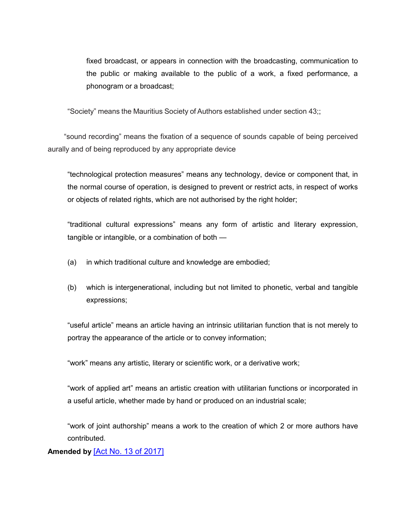fixed broadcast, or appears in connection with the broadcasting, communication to the public or making available to the public of a work, a fixed performance, a phonogram or a broadcast;

"Society" means the Mauritius Society of Authors established under section 43;;

 "sound recording" means the fixation of a sequence of sounds capable of being perceived aurally and of being reproduced by any appropriate device

"technological protection measures" means any technology, device or component that, in the normal course of operation, is designed to prevent or restrict acts, in respect of works or objects of related rights, which are not authorised by the right holder;

"traditional cultural expressions" means any form of artistic and literary expression, tangible or intangible, or a combination of both —

- (a) in which traditional culture and knowledge are embodied;
- (b) which is intergenerational, including but not limited to phonetic, verbal and tangible expressions;

"useful article" means an article having an intrinsic utilitarian function that is not merely to portray the appearance of the article or to convey information;

"work" means any artistic, literary or scientific work, or a derivative work;

"work of applied art" means an artistic creation with utilitarian functions or incorporated in a useful article, whether made by hand or produced on an industrial scale;

"work of joint authorship" means a work to the creation of which 2 or more authors have contributed.

# **Amended by** [\[Act No. 13 of 2017\]](https://supremecourt.govmu.org/get-doc-link/Act_No._13_of_2017)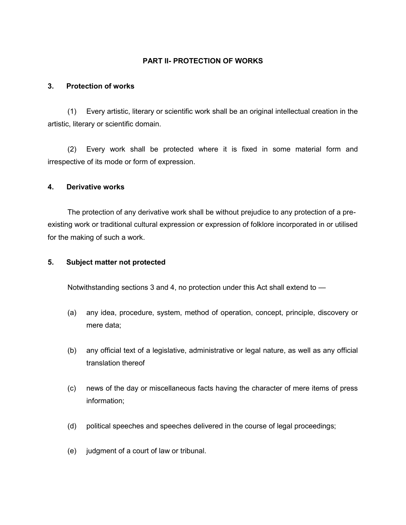## **PART II- PROTECTION OF WORKS**

## **3. Protection of works**

(1) Every artistic, literary or scientific work shall be an original intellectual creation in the artistic, literary or scientific domain.

(2) Every work shall be protected where it is fixed in some material form and irrespective of its mode or form of expression.

### **4. Derivative works**

The protection of any derivative work shall be without prejudice to any protection of a preexisting work or traditional cultural expression or expression of folklore incorporated in or utilised for the making of such a work.

## **5. Subject matter not protected**

Notwithstanding sections 3 and 4, no protection under this Act shall extend to —

- (a) any idea, procedure, system, method of operation, concept, principle, discovery or mere data;
- (b) any official text of a legislative, administrative or legal nature, as well as any official translation thereof
- (c) news of the day or miscellaneous facts having the character of mere items of press information;
- (d) political speeches and speeches delivered in the course of legal proceedings;
- (e) judgment of a court of law or tribunal.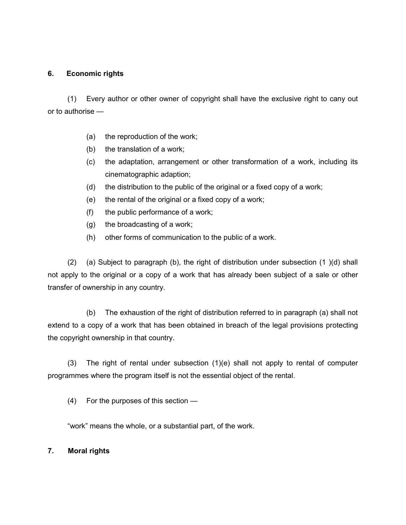## **6. Economic rights**

(1) Every author or other owner of copyright shall have the exclusive right to cany out or to authorise —

- (a) the reproduction of the work;
- (b) the translation of a work;
- (c) the adaptation, arrangement or other transformation of a work, including its cinematographic adaption;
- (d) the distribution to the public of the original or a fixed copy of a work;
- (e) the rental of the original or a fixed copy of a work;
- (f) the public performance of a work;
- (g) the broadcasting of a work;
- (h) other forms of communication to the public of a work.

(2) (a) Subject to paragraph (b), the right of distribution under subsection (1 )(d) shall not apply to the original or a copy of a work that has already been subject of a sale or other transfer of ownership in any country.

(b) The exhaustion of the right of distribution referred to in paragraph (a) shall not extend to a copy of a work that has been obtained in breach of the legal provisions protecting the copyright ownership in that country.

(3) The right of rental under subsection (1)(e) shall not apply to rental of computer programmes where the program itself is not the essential object of the rental.

(4) For the purposes of this section —

"work" means the whole, or a substantial part, of the work.

## **7. Moral rights**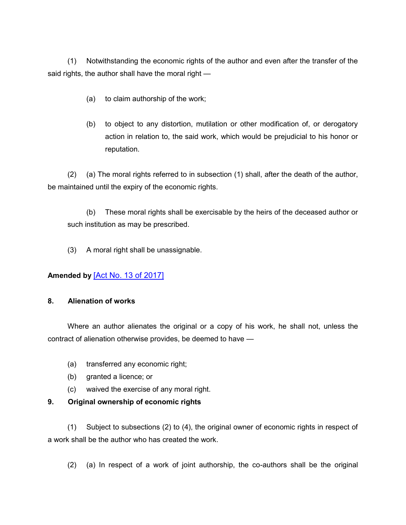(1) Notwithstanding the economic rights of the author and even after the transfer of the said rights, the author shall have the moral right —

- (a) to claim authorship of the work;
- (b) to object to any distortion, mutilation or other modification of, or derogatory action in relation to, the said work, which would be prejudicial to his honor or reputation.

(2) (a) The moral rights referred to in subsection (1) shall, after the death of the author, be maintained until the expiry of the economic rights.

(b) These moral rights shall be exercisable by the heirs of the deceased author or such institution as may be prescribed.

(3) A moral right shall be unassignable.

# **Amended by** [\[Act No. 13 of 2017\]](https://supremecourt.govmu.org/get-doc-link/Act_No._13_of_2017)

## **8. Alienation of works**

Where an author alienates the original or a copy of his work, he shall not, unless the contract of alienation otherwise provides, be deemed to have —

- (a) transferred any economic right;
- (b) granted a licence; or
- (c) waived the exercise of any moral right.

## **9. Original ownership of economic rights**

(1) Subject to subsections (2) to (4), the original owner of economic rights in respect of a work shall be the author who has created the work.

(2) (a) In respect of a work of joint authorship, the co-authors shall be the original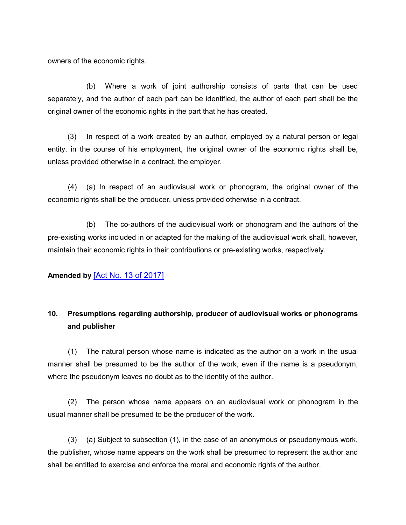owners of the economic rights.

(b) Where a work of joint authorship consists of parts that can be used separately, and the author of each part can be identified, the author of each part shall be the original owner of the economic rights in the part that he has created.

(3) In respect of a work created by an author, employed by a natural person or legal entity, in the course of his employment, the original owner of the economic rights shall be, unless provided otherwise in a contract, the employer.

(4) (a) In respect of an audiovisual work or phonogram, the original owner of the economic rights shall be the producer, unless provided otherwise in a contract.

(b) The co-authors of the audiovisual work or phonogram and the authors of the pre-existing works included in or adapted for the making of the audiovisual work shall, however, maintain their economic rights in their contributions or pre-existing works, respectively.

## **Amended by** [\[Act No. 13 of 2017\]](https://supremecourt.govmu.org/get-doc-link/Act_No._13_of_2017)

# **10. Presumptions regarding authorship, producer of audiovisual works or phonograms and publisher**

(1) The natural person whose name is indicated as the author on a work in the usual manner shall be presumed to be the author of the work, even if the name is a pseudonym, where the pseudonym leaves no doubt as to the identity of the author.

(2) The person whose name appears on an audiovisual work or phonogram in the usual manner shall be presumed to be the producer of the work.

(3) (a) Subject to subsection (1), in the case of an anonymous or pseudonymous work, the publisher, whose name appears on the work shall be presumed to represent the author and shall be entitled to exercise and enforce the moral and economic rights of the author.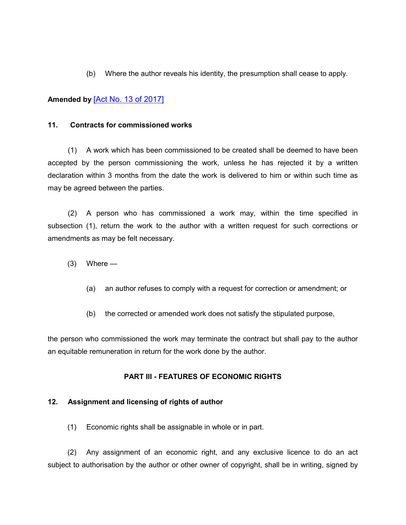(b) Where the author reveals his identity, the presumption shall cease to apply.

# **Amended by** [\[Act No. 13 of 2017\]](https://supremecourt.govmu.org/get-doc-link/Act_No._13_of_2017)

### **11. Contracts for commissioned works**

(1) A work which has been commissioned to be created shall be deemed to have been accepted by the person commissioning the work, unless he has rejected it by a written declaration within 3 months from the date the work is delivered to him or within such time as may be agreed between the parties.

(2) A person who has commissioned a work may, within the time specified in subsection (1), return the work to the author with a written request for such corrections or amendments as may be felt necessary.

- $(3)$  Where
	- (a) an author refuses to comply with a request for correction or amendment; or
	- (b) the corrected or amended work does not satisfy the stipulated purpose,

the person who commissioned the work may terminate the contract but shall pay to the author an equitable remuneration in return for the work done by the author.

## **PART III - FEATURES OF ECONOMIC RIGHTS**

### **12. Assignment and licensing of rights of author**

(1) Economic rights shall be assignable in whole or in part.

(2) Any assignment of an economic right, and any exclusive licence to do an act subject to authorisation by the author or other owner of copyright, shall be in writing, signed by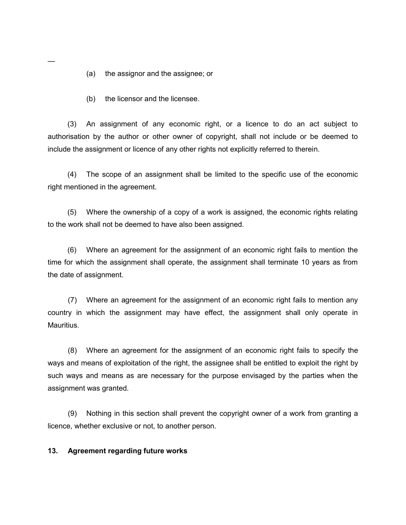(a) the assignor and the assignee; or

(b) the licensor and the licensee.

(3) An assignment of any economic right, or a licence to do an act subject to authorisation by the author or other owner of copyright, shall not include or be deemed to include the assignment or licence of any other rights not explicitly referred to therein.

(4) The scope of an assignment shall be limited to the specific use of the economic right mentioned in the agreement.

(5) Where the ownership of a copy of a work is assigned, the economic rights relating to the work shall not be deemed to have also been assigned.

(6) Where an agreement for the assignment of an economic right fails to mention the time for which the assignment shall operate, the assignment shall terminate 10 years as from the date of assignment.

(7) Where an agreement for the assignment of an economic right fails to mention any country in which the assignment may have effect, the assignment shall only operate in Mauritius.

(8) Where an agreement for the assignment of an economic right fails to specify the ways and means of exploitation of the right, the assignee shall be entitled to exploit the right by such ways and means as are necessary for the purpose envisaged by the parties when the assignment was granted.

(9) Nothing in this section shall prevent the copyright owner of a work from granting a licence, whether exclusive or not, to another person.

### **13. Agreement regarding future works**

—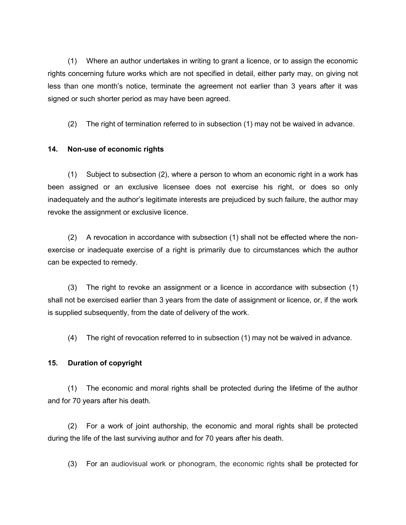(1) Where an author undertakes in writing to grant a licence, or to assign the economic rights concerning future works which are not specified in detail, either party may, on giving not less than one month's notice, terminate the agreement not earlier than 3 years after it was signed or such shorter period as may have been agreed.

(2) The right of termination referred to in subsection (1) may not be waived in advance.

## **14. Non-use of economic rights**

(1) Subject to subsection (2), where a person to whom an economic right in a work has been assigned or an exclusive licensee does not exercise his right, or does so only inadequately and the author's legitimate interests are prejudiced by such failure, the author may revoke the assignment or exclusive licence.

(2) A revocation in accordance with subsection (1) shall not be effected where the nonexercise or inadequate exercise of a right is primarily due to circumstances which the author can be expected to remedy.

(3) The right to revoke an assignment or a licence in accordance with subsection (1) shall not be exercised earlier than 3 years from the date of assignment or licence, or, if the work is supplied subsequently, from the date of delivery of the work.

(4) The right of revocation referred to in subsection (1) may not be waived in advance.

## **15. Duration of copyright**

(1) The economic and moral rights shall be protected during the lifetime of the author and for 70 years after his death.

(2) For a work of joint authorship, the economic and moral rights shall be protected during the life of the last surviving author and for 70 years after his death.

(3) For an audiovisual work or phonogram, the economic rights shall be protected for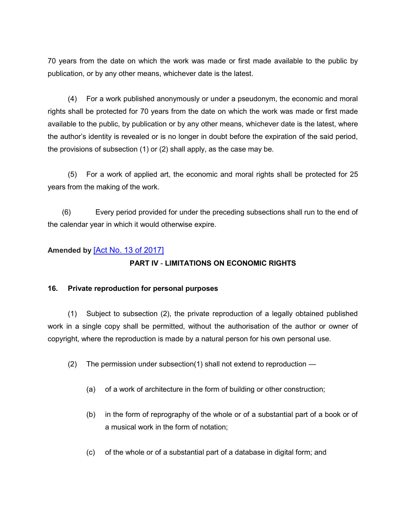70 years from the date on which the work was made or first made available to the public by publication, or by any other means, whichever date is the latest.

(4) For a work published anonymously or under a pseudonym, the economic and moral rights shall be protected for 70 years from the date on which the work was made or first made available to the public, by publication or by any other means, whichever date is the latest, where the author's identity is revealed or is no longer in doubt before the expiration of the said period, the provisions of subsection (1) or (2) shall apply, as the case may be.

(5) For a work of applied art, the economic and moral rights shall be protected for 25 years from the making of the work.

 (6) Every period provided for under the preceding subsections shall run to the end of the calendar year in which it would otherwise expire.

# **Amended by** [\[Act No. 13 of 2017\]](https://supremecourt.govmu.org/get-doc-link/Act_No._13_of_2017)

# **PART IV** - **LIMITATIONS ON ECONOMIC RIGHTS**

## **16. Private reproduction for personal purposes**

(1) Subject to subsection (2), the private reproduction of a legally obtained published work in a single copy shall be permitted, without the authorisation of the author or owner of copyright, where the reproduction is made by a natural person for his own personal use.

- (2) The permission under subsection(1) shall not extend to reproduction
	- (a) of a work of architecture in the form of building or other construction;
	- (b) in the form of reprography of the whole or of a substantial part of a book or of a musical work in the form of notation;
	- (c) of the whole or of a substantial part of a database in digital form; and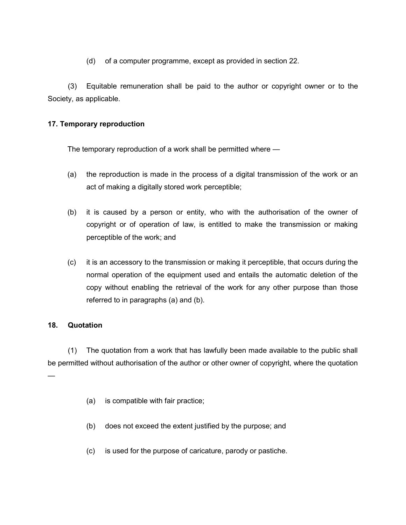(d) of a computer programme, except as provided in section 22.

(3) Equitable remuneration shall be paid to the author or copyright owner or to the Society, as applicable.

## **17. Temporary reproduction**

The temporary reproduction of a work shall be permitted where —

- (a) the reproduction is made in the process of a digital transmission of the work or an act of making a digitally stored work perceptible;
- (b) it is caused by a person or entity, who with the authorisation of the owner of copyright or of operation of law, is entitled to make the transmission or making perceptible of the work; and
- (c) it is an accessory to the transmission or making it perceptible, that occurs during the normal operation of the equipment used and entails the automatic deletion of the copy without enabling the retrieval of the work for any other purpose than those referred to in paragraphs (a) and (b).

### **18. Quotation**

—

(1) The quotation from a work that has lawfully been made available to the public shall be permitted without authorisation of the author or other owner of copyright, where the quotation

- (a) is compatible with fair practice;
- (b) does not exceed the extent justified by the purpose; and
- (c) is used for the purpose of caricature, parody or pastiche.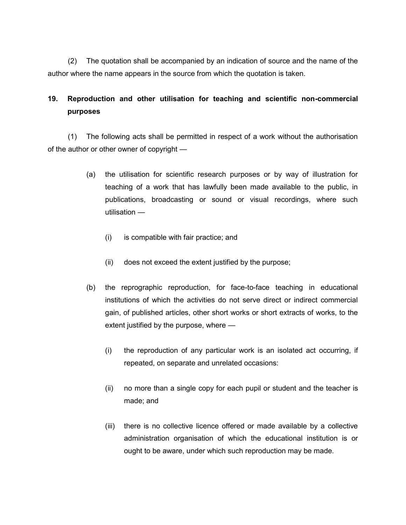(2) The quotation shall be accompanied by an indication of source and the name of the author where the name appears in the source from which the quotation is taken.

# **19. Reproduction and other utilisation for teaching and scientific non-commercial purposes**

(1) The following acts shall be permitted in respect of a work without the authorisation of the author or other owner of copyright —

- (a) the utilisation for scientific research purposes or by way of illustration for teaching of a work that has lawfully been made available to the public, in publications, broadcasting or sound or visual recordings, where such utilisation —
	- (i) is compatible with fair practice; and
	- (ii) does not exceed the extent justified by the purpose;
- (b) the reprographic reproduction, for face-to-face teaching in educational institutions of which the activities do not serve direct or indirect commercial gain, of published articles, other short works or short extracts of works, to the extent justified by the purpose, where —
	- (i) the reproduction of any particular work is an isolated act occurring, if repeated, on separate and unrelated occasions:
	- (ii) no more than a single copy for each pupil or student and the teacher is made; and
	- (iii) there is no collective licence offered or made available by a collective administration organisation of which the educational institution is or ought to be aware, under which such reproduction may be made.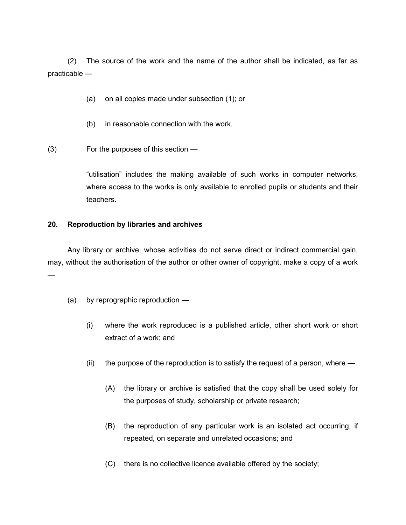(2) The source of the work and the name of the author shall be indicated, as far as practicable —

- (a) on all copies made under subsection (1); or
- (b) in reasonable connection with the work.

(3) For the purposes of this section —

"utilisation" includes the making available of such works in computer networks, where access to the works is only available to enrolled pupils or students and their teachers.

### **20. Reproduction by libraries and archives**

Any library or archive, whose activities do not serve direct or indirect commercial gain, may, without the authorisation of the author or other owner of copyright, make a copy of a work —

- (a) by reprographic reproduction
	- (i) where the work reproduced is a published article, other short work or short extract of a work; and
	- $(i)$  the purpose of the reproduction is to satisfy the request of a person, where  $-$ 
		- (A) the library or archive is satisfied that the copy shall be used solely for the purposes of study, scholarship or private research;
		- (B) the reproduction of any particular work is an isolated act occurring, if repeated, on separate and unrelated occasions; and
		- (C) there is no collective licence available offered by the society;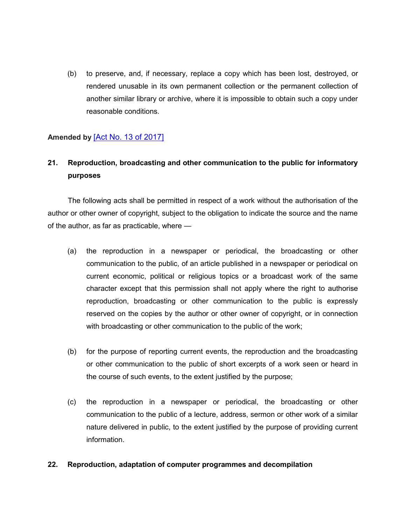(b) to preserve, and, if necessary, replace a copy which has been lost, destroyed, or rendered unusable in its own permanent collection or the permanent collection of another similar library or archive, where it is impossible to obtain such a copy under reasonable conditions.

# **Amended by** [\[Act No. 13 of 2017\]](https://supremecourt.govmu.org/get-doc-link/Act_No._13_of_2017)

# **21. Reproduction, broadcasting and other communication to the public for informatory purposes**

The following acts shall be permitted in respect of a work without the authorisation of the author or other owner of copyright, subject to the obligation to indicate the source and the name of the author, as far as practicable, where —

- (a) the reproduction in a newspaper or periodical, the broadcasting or other communication to the public, of an article published in a newspaper or periodical on current economic, political or religious topics or a broadcast work of the same character except that this permission shall not apply where the right to authorise reproduction, broadcasting or other communication to the public is expressly reserved on the copies by the author or other owner of copyright, or in connection with broadcasting or other communication to the public of the work;
- (b) for the purpose of reporting current events, the reproduction and the broadcasting or other communication to the public of short excerpts of a work seen or heard in the course of such events, to the extent justified by the purpose;
- (c) the reproduction in a newspaper or periodical, the broadcasting or other communication to the public of a lecture, address, sermon or other work of a similar nature delivered in public, to the extent justified by the purpose of providing current information.

### **22. Reproduction, adaptation of computer programmes and decompilation**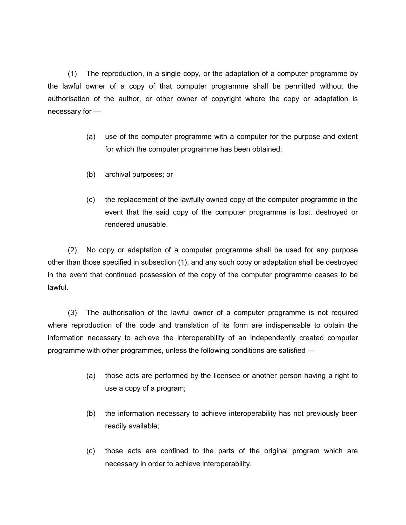(1) The reproduction, in a single copy, or the adaptation of a computer programme by the lawful owner of a copy of that computer programme shall be permitted without the authorisation of the author, or other owner of copyright where the copy or adaptation is necessary for —

- (a) use of the computer programme with a computer for the purpose and extent for which the computer programme has been obtained;
- (b) archival purposes; or
- (c) the replacement of the lawfully owned copy of the computer programme in the event that the said copy of the computer programme is lost, destroyed or rendered unusable.

(2) No copy or adaptation of a computer programme shall be used for any purpose other than those specified in subsection (1), and any such copy or adaptation shall be destroyed in the event that continued possession of the copy of the computer programme ceases to be lawful.

(3) The authorisation of the lawful owner of a computer programme is not required where reproduction of the code and translation of its form are indispensable to obtain the information necessary to achieve the interoperability of an independently created computer programme with other programmes, unless the following conditions are satisfied —

- (a) those acts are performed by the licensee or another person having a right to use a copy of a program;
- (b) the information necessary to achieve interoperability has not previously been readily available;
- (c) those acts are confined to the parts of the original program which are necessary in order to achieve interoperability.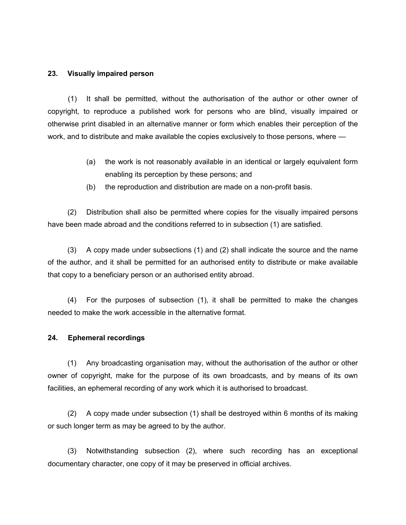### **23. Visually impaired person**

(1) It shall be permitted, without the authorisation of the author or other owner of copyright, to reproduce a published work for persons who are blind, visually impaired or otherwise print disabled in an alternative manner or form which enables their perception of the work, and to distribute and make available the copies exclusively to those persons, where —

- (a) the work is not reasonably available in an identical or largely equivalent form enabling its perception by these persons; and
- (b) the reproduction and distribution are made on a non-profit basis.

(2) Distribution shall also be permitted where copies for the visually impaired persons have been made abroad and the conditions referred to in subsection (1) are satisfied.

(3) A copy made under subsections (1) and (2) shall indicate the source and the name of the author, and it shall be permitted for an authorised entity to distribute or make available that copy to a beneficiary person or an authorised entity abroad.

(4) For the purposes of subsection (1), it shall be permitted to make the changes needed to make the work accessible in the alternative format.

### **24. Ephemeral recordings**

(1) Any broadcasting organisation may, without the authorisation of the author or other owner of copyright, make for the purpose of its own broadcasts, and by means of its own facilities, an ephemeral recording of any work which it is authorised to broadcast.

(2) A copy made under subsection (1) shall be destroyed within 6 months of its making or such longer term as may be agreed to by the author.

(3) Notwithstanding subsection (2), where such recording has an exceptional documentary character, one copy of it may be preserved in official archives.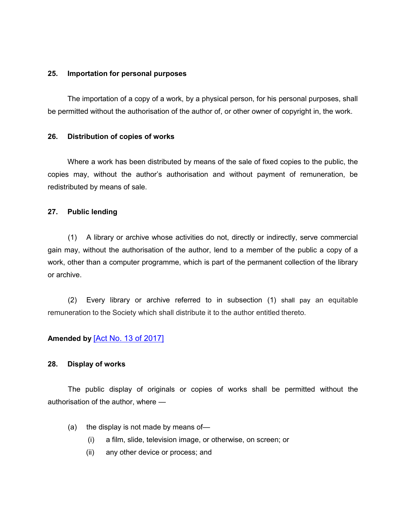### **25. Importation for personal purposes**

The importation of a copy of a work, by a physical person, for his personal purposes, shall be permitted without the authorisation of the author of, or other owner of copyright in, the work.

### **26. Distribution of copies of works**

Where a work has been distributed by means of the sale of fixed copies to the public, the copies may, without the author's authorisation and without payment of remuneration, be redistributed by means of sale.

#### **27. Public lending**

(1) A library or archive whose activities do not, directly or indirectly, serve commercial gain may, without the authorisation of the author, lend to a member of the public a copy of a work, other than a computer programme, which is part of the permanent collection of the library or archive.

(2) Every library or archive referred to in subsection (1) shall pay an equitable remuneration to the Society which shall distribute it to the author entitled thereto.

### **Amended by** [\[Act No. 13 of 2017\]](https://supremecourt.govmu.org/get-doc-link/Act_No._13_of_2017)

#### **28. Display of works**

The public display of originals or copies of works shall be permitted without the authorisation of the author, where —

- (a) the display is not made by means of—
	- (i) a film, slide, television image, or otherwise, on screen; or
	- (ii) any other device or process; and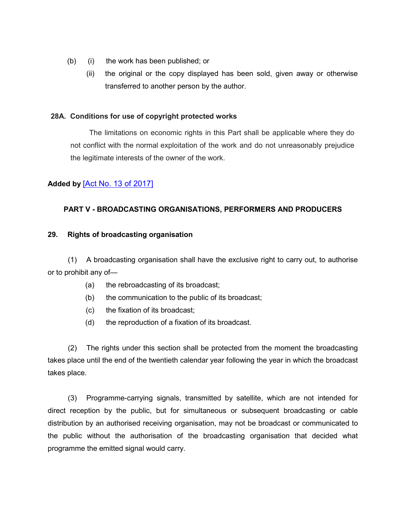- (b) (i) the work has been published; or
	- (ii) the original or the copy displayed has been sold, given away or otherwise transferred to another person by the author.

### **28A. Conditions for use of copyright protected works**

The limitations on economic rights in this Part shall be applicable where they do not conflict with the normal exploitation of the work and do not unreasonably prejudice the legitimate interests of the owner of the work.

# **Added by** [\[Act No. 13 of 2017\]](https://supremecourt.govmu.org/get-doc-link/Act_No._13_of_2017)

## **PART V - BROADCASTING ORGANISATIONS, PERFORMERS AND PRODUCERS**

### **29. Rights of broadcasting organisation**

(1) A broadcasting organisation shall have the exclusive right to carry out, to authorise or to prohibit any of—

- (a) the rebroadcasting of its broadcast;
- (b) the communication to the public of its broadcast;
- (c) the fixation of its broadcast;
- (d) the reproduction of a fixation of its broadcast.

(2) The rights under this section shall be protected from the moment the broadcasting takes place until the end of the twentieth calendar year following the year in which the broadcast takes place.

(3) Programme-carrying signals, transmitted by satellite, which are not intended for direct reception by the public, but for simultaneous or subsequent broadcasting or cable distribution by an authorised receiving organisation, may not be broadcast or communicated to the public without the authorisation of the broadcasting organisation that decided what programme the emitted signal would carry.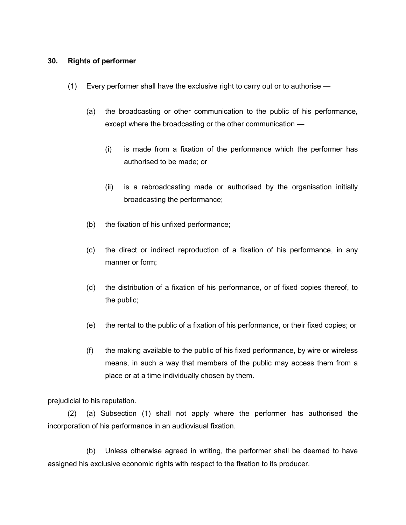### **30. Rights of performer**

- (1) Every performer shall have the exclusive right to carry out or to authorise
	- (a) the broadcasting or other communication to the public of his performance, except where the broadcasting or the other communication —
		- (i) is made from a fixation of the performance which the performer has authorised to be made; or
		- (ii) is a rebroadcasting made or authorised by the organisation initially broadcasting the performance;
	- (b) the fixation of his unfixed performance;
	- (c) the direct or indirect reproduction of a fixation of his performance, in any manner or form;
	- (d) the distribution of a fixation of his performance, or of fixed copies thereof, to the public;
	- (e) the rental to the public of a fixation of his performance, or their fixed copies; or
	- (f) the making available to the public of his fixed performance, by wire or wireless means, in such a way that members of the public may access them from a place or at a time individually chosen by them.

prejudicial to his reputation.

(2) (a) Subsection (1) shall not apply where the performer has authorised the incorporation of his performance in an audiovisual fixation.

(b) Unless otherwise agreed in writing, the performer shall be deemed to have assigned his exclusive economic rights with respect to the fixation to its producer.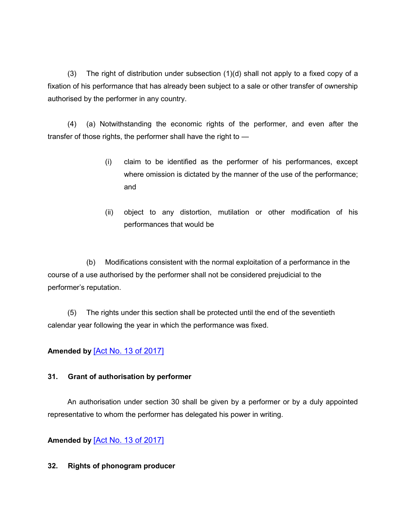(3) The right of distribution under subsection (1)(d) shall not apply to a fixed copy of a fixation of his performance that has already been subject to a sale or other transfer of ownership authorised by the performer in any country.

(4) (a) Notwithstanding the economic rights of the performer, and even after the transfer of those rights, the performer shall have the right to —

- (i) claim to be identified as the performer of his performances, except where omission is dictated by the manner of the use of the performance; and
- (ii) object to any distortion, mutilation or other modification of his performances that would be

(b) Modifications consistent with the normal exploitation of a performance in the course of a use authorised by the performer shall not be considered prejudicial to the performer's reputation.

(5) The rights under this section shall be protected until the end of the seventieth calendar year following the year in which the performance was fixed.

# **Amended by** [\[Act No. 13 of 2017\]](https://supremecourt.govmu.org/get-doc-link/Act_No._13_of_2017)

## **31. Grant of authorisation by performer**

An authorisation under section 30 shall be given by a performer or by a duly appointed representative to whom the performer has delegated his power in writing.

**Amended by** [\[Act No. 13 of 2017\]](https://supremecourt.govmu.org/get-doc-link/Act_No._13_of_2017)

## **32. Rights of phonogram producer**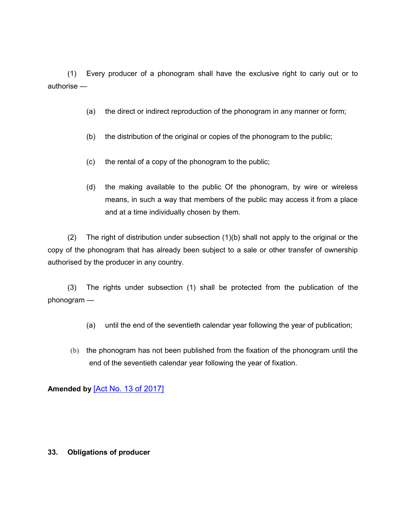(1) Every producer of a phonogram shall have the exclusive right to cariy out or to authorise —

- (a) the direct or indirect reproduction of the phonogram in any manner or form;
- (b) the distribution of the original or copies of the phonogram to the public;
- (c) the rental of a copy of the phonogram to the public;
- (d) the making available to the public Of the phonogram, by wire or wireless means, in such a way that members of the public may access it from a place and at a time individually chosen by them.

(2) The right of distribution under subsection (1)(b) shall not apply to the original or the copy of the phonogram that has already been subject to a sale or other transfer of ownership authorised by the producer in any country.

(3) The rights under subsection (1) shall be protected from the publication of the phonogram —

- (a) until the end of the seventieth calendar year following the year of publication;
- (b) the phonogram has not been published from the fixation of the phonogram until the end of the seventieth calendar year following the year of fixation.

# **Amended by** [\[Act No. 13 of 2017\]](https://supremecourt.govmu.org/get-doc-link/Act_No._13_of_2017)

## **33. Obligations of producer**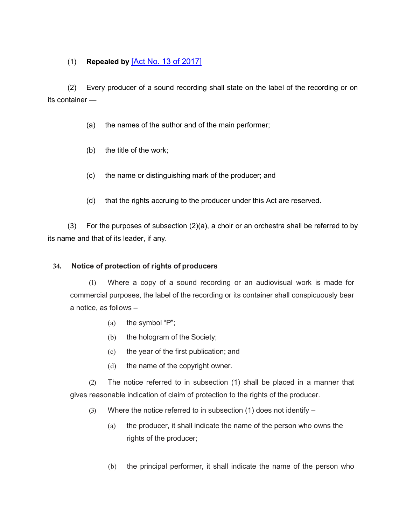# (1) **Repealed by** [\[Act No. 13 of 2017\]](https://supremecourt.govmu.org/get-doc-link/Act_No._13_of_2017)

(2) Every producer of a sound recording shall state on the label of the recording or on its container —

- (a) the names of the author and of the main performer;
- (b) the title of the work;
- (c) the name or distinguishing mark of the producer; and
- (d) that the rights accruing to the producer under this Act are reserved.

(3) For the purposes of subsection (2)(a), a choir or an orchestra shall be referred to by its name and that of its leader, if any.

# **34. Notice of protection of rights of producers**

(1) Where a copy of a sound recording or an audiovisual work is made for commercial purposes, the label of the recording or its container shall conspicuously bear a notice, as follows –

- (a) the symbol "P";
- (b) the hologram of the Society;
- (c) the year of the first publication; and
- (d) the name of the copyright owner.

(2) The notice referred to in subsection (1) shall be placed in a manner that gives reasonable indication of claim of protection to the rights of the producer.

- (3) Where the notice referred to in subsection (1) does not identify  $-$ 
	- (a) the producer, it shall indicate the name of the person who owns the rights of the producer;
	- (b) the principal performer, it shall indicate the name of the person who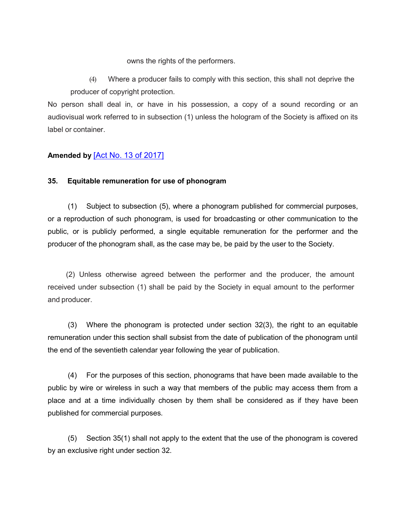owns the rights of the performers.

(4) Where a producer fails to comply with this section, this shall not deprive the producer of copyright protection.

No person shall deal in, or have in his possession, a copy of a sound recording or an audiovisual work referred to in subsection (1) unless the hologram of the Society is affixed on its label or container.

# **Amended by** [\[Act No. 13 of 2017\]](https://supremecourt.govmu.org/get-doc-link/Act_No._13_of_2017)

# **35. Equitable remuneration for use of phonogram**

(1) Subject to subsection (5), where a phonogram published for commercial purposes, or a reproduction of such phonogram, is used for broadcasting or other communication to the public, or is publicly performed, a single equitable remuneration for the performer and the producer of the phonogram shall, as the case may be, be paid by the user to the Society.

 (2) Unless otherwise agreed between the performer and the producer, the amount received under subsection (1) shall be paid by the Society in equal amount to the performer and producer.

(3) Where the phonogram is protected under section 32(3), the right to an equitable remuneration under this section shall subsist from the date of publication of the phonogram until the end of the seventieth calendar year following the year of publication.

(4) For the purposes of this section, phonograms that have been made available to the public by wire or wireless in such a way that members of the public may access them from a place and at a time individually chosen by them shall be considered as if they have been published for commercial purposes.

(5) Section 35(1) shall not apply to the extent that the use of the phonogram is covered by an exclusive right under section 32.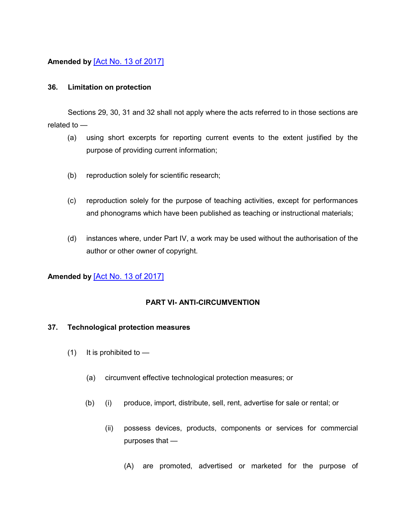# **Amended by** [\[Act No. 13 of 2017\]](https://supremecourt.govmu.org/get-doc-link/Act_No._13_of_2017)

## **36. Limitation on protection**

Sections 29, 30, 31 and 32 shall not apply where the acts referred to in those sections are related to —

- (a) using short excerpts for reporting current events to the extent justified by the purpose of providing current information;
- (b) reproduction solely for scientific research;
- (c) reproduction solely for the purpose of teaching activities, except for performances and phonograms which have been published as teaching or instructional materials;
- (d) instances where, under Part IV, a work may be used without the authorisation of the author or other owner of copyright.

# **Amended by** [\[Act No. 13 of 2017\]](https://supremecourt.govmu.org/get-doc-link/Act_No._13_of_2017)

## **PART VI- ANTI-CIRCUMVENTION**

### **37. Technological protection measures**

- $(1)$  It is prohibited to  $-$ 
	- (a) circumvent effective technological protection measures; or
	- (b) (i) produce, import, distribute, sell, rent, advertise for sale or rental; or
		- (ii) possess devices, products, components or services for commercial purposes that —
			- (A) are promoted, advertised or marketed for the purpose of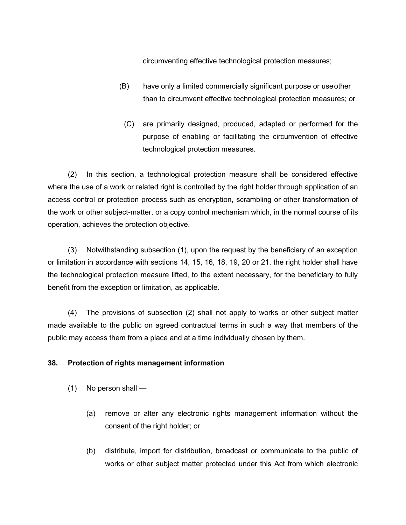circumventing effective technological protection measures;

- (B) have only a limited commercially significant purpose or useother than to circumvent effective technological protection measures; or
	- (C) are primarily designed, produced, adapted or performed for the purpose of enabling or facilitating the circumvention of effective technological protection measures.

(2) In this section, a technological protection measure shall be considered effective where the use of a work or related right is controlled by the right holder through application of an access control or protection process such as encryption, scrambling or other transformation of the work or other subject-matter, or a copy control mechanism which, in the normal course of its operation, achieves the protection objective.

(3) Notwithstanding subsection (1), upon the request by the beneficiary of an exception or limitation in accordance with sections 14, 15, 16, 18, 19, 20 or 21, the right holder shall have the technological protection measure lifted, to the extent necessary, for the beneficiary to fully benefit from the exception or limitation, as applicable.

(4) The provisions of subsection (2) shall not apply to works or other subject matter made available to the public on agreed contractual terms in such a way that members of the public may access them from a place and at a time individually chosen by them.

## **38. Protection of rights management information**

- (1) No person shall
	- (a) remove or alter any electronic rights management information without the consent of the right holder; or
	- (b) distribute, import for distribution, broadcast or communicate to the public of works or other subject matter protected under this Act from which electronic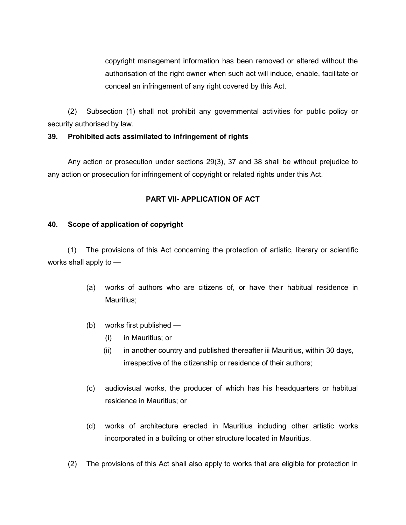copyright management information has been removed or altered without the authorisation of the right owner when such act will induce, enable, facilitate or conceal an infringement of any right covered by this Act.

(2) Subsection (1) shall not prohibit any governmental activities for public policy or security authorised by law.

# **39. Prohibited acts assimilated to infringement of rights**

Any action or prosecution under sections 29(3), 37 and 38 shall be without prejudice to any action or prosecution for infringement of copyright or related rights under this Act.

# **PART VII- APPLICATION OF ACT**

## **40. Scope of application of copyright**

(1) The provisions of this Act concerning the protection of artistic, literary or scientific works shall apply to —

- (a) works of authors who are citizens of, or have their habitual residence in Mauritius;
- (b) works first published
	- (i) in Mauritius; or
	- (ii) in another country and published thereafter iii Mauritius, within 30 days, irrespective of the citizenship or residence of their authors;
- (c) audiovisual works, the producer of which has his headquarters or habitual residence in Mauritius; or
- (d) works of architecture erected in Mauritius including other artistic works incorporated in a building or other structure located in Mauritius.
- (2) The provisions of this Act shall also apply to works that are eligible for protection in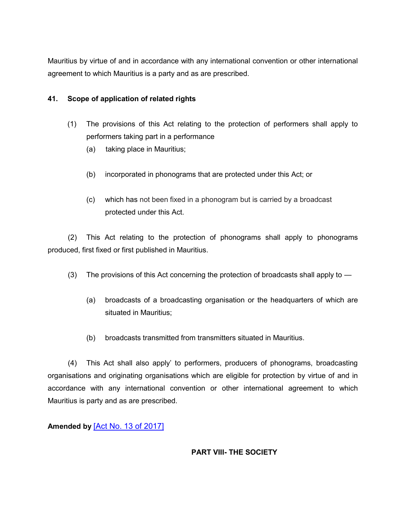Mauritius by virtue of and in accordance with any international convention or other international agreement to which Mauritius is a party and as are prescribed.

# **41. Scope of application of related rights**

- (1) The provisions of this Act relating to the protection of performers shall apply to performers taking part in a performance
	- (a) taking place in Mauritius;
	- (b) incorporated in phonograms that are protected under this Act; or
	- (c) which has not been fixed in a phonogram but is carried by a broadcast protected under this Act.

(2) This Act relating to the protection of phonograms shall apply to phonograms produced, first fixed or first published in Mauritius.

- (3) The provisions of this Act concerning the protection of broadcasts shall apply to  $-$ 
	- (a) broadcasts of a broadcasting organisation or the headquarters of which are situated in Mauritius;
	- (b) broadcasts transmitted from transmitters situated in Mauritius.

(4) This Act shall also apply' to performers, producers of phonograms, broadcasting organisations and originating organisations which are eligible for protection by virtue of and in accordance with any international convention or other international agreement to which Mauritius is party and as are prescribed.

**Amended by** [\[Act No. 13 of 2017\]](https://supremecourt.govmu.org/get-doc-link/Act_No._13_of_2017)

# **PART VIII- THE SOCIETY**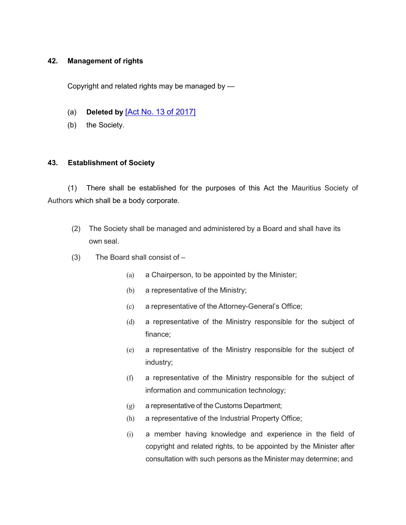## **42. Management of rights**

Copyright and related rights may be managed by —

- (a) **Deleted by** [\[Act No. 13 of 2017\]](https://supremecourt.govmu.org/get-doc-link/Act_No._13_of_2017)
- (b) the Society.

### **43. Establishment of Society**

(1) There shall be established for the purposes of this Act the Mauritius Society of Authors which shall be a body corporate.

- (2) The Society shall be managed and administered by a Board and shall have its own seal.
- (3) The Board shall consist of
	- (a) a Chairperson, to be appointed by the Minister;
	- (b) a representative of the Ministry;
	- (c) a representative of the Attorney-General's Office;
	- (d) a representative of the Ministry responsible for the subject of finance;
	- (e) a representative of the Ministry responsible for the subject of industry;
	- (f) a representative of the Ministry responsible for the subject of information and communication technology;
	- (g) a representative of the Customs Department;
	- (h) a representative of the Industrial Property Office;
	- (i) a member having knowledge and experience in the field of copyright and related rights, to be appointed by the Minister after consultation with such persons as the Minister may determine; and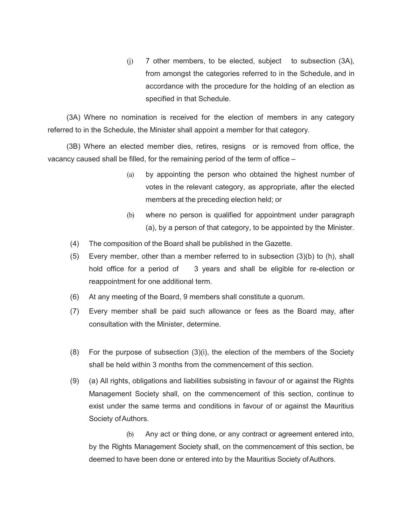(j) 7 other members, to be elected, subject to subsection (3A), from amongst the categories referred to in the Schedule, and in accordance with the procedure for the holding of an election as specified in that Schedule.

(3A) Where no nomination is received for the election of members in any category referred to in the Schedule, the Minister shall appoint a member for that category.

(3B) Where an elected member dies, retires, resigns or is removed from office, the vacancy caused shall be filled, for the remaining period of the term of office –

- (a) by appointing the person who obtained the highest number of votes in the relevant category, as appropriate, after the elected members at the preceding election held; or
- (b) where no person is qualified for appointment under paragraph (a), by a person of that category, to be appointed by the Minister.
- (4) The composition of the Board shall be published in the Gazette.
- (5) Every member, other than a member referred to in subsection (3)(b) to (h), shall hold office for a period of 3 years and shall be eligible for re-election or reappointment for one additional term.
- (6) At any meeting of the Board, 9 members shall constitute a quorum.
- (7) Every member shall be paid such allowance or fees as the Board may, after consultation with the Minister, determine.
- (8) For the purpose of subsection (3)(i), the election of the members of the Society shall be held within 3 months from the commencement of this section.
- (9) (a) All rights, obligations and liabilities subsisting in favour of or against the Rights Management Society shall, on the commencement of this section, continue to exist under the same terms and conditions in favour of or against the Mauritius Society of Authors.

(b) Any act or thing done, or any contract or agreement entered into, by the Rights Management Society shall, on the commencement of this section, be deemed to have been done or entered into by the Mauritius Society of Authors.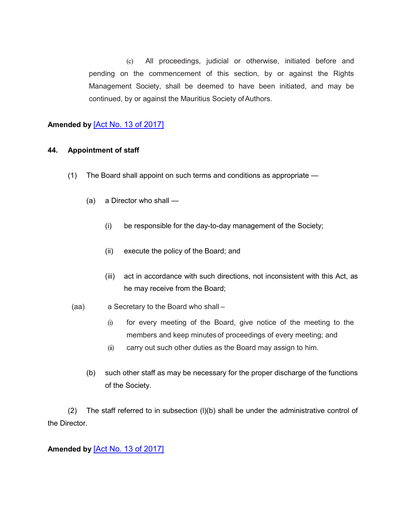(c) All proceedings, judicial or otherwise, initiated before and pending on the commencement of this section, by or against the Rights Management Society, shall be deemed to have been initiated, and may be continued, by or against the Mauritius Society ofAuthors.

# **Amended by** [\[Act No. 13 of 2017\]](https://supremecourt.govmu.org/get-doc-link/Act_No._13_of_2017)

### **44. Appointment of staff**

- (1) The Board shall appoint on such terms and conditions as appropriate
	- (a) a Director who shall
		- (i) be responsible for the day-to-day management of the Society;
		- (ii) execute the policy of the Board; and
		- (iii) act in accordance with such directions, not inconsistent with this Act, as he may receive from the Board;
- (aa) a Secretary to the Board who shall
	- (i) for every meeting of the Board, give notice of the meeting to the members and keep minutes of proceedings of every meeting; and
	- (ii) carry out such other duties as the Board may assign to him.
	- (b) such other staff as may be necessary for the proper discharge of the functions of the Society.

(2) The staff referred to in subsection  $(I)(b)$  shall be under the administrative control of the Director.

# **Amended by** [\[Act No. 13 of 2017\]](https://supremecourt.govmu.org/get-doc-link/Act_No._13_of_2017)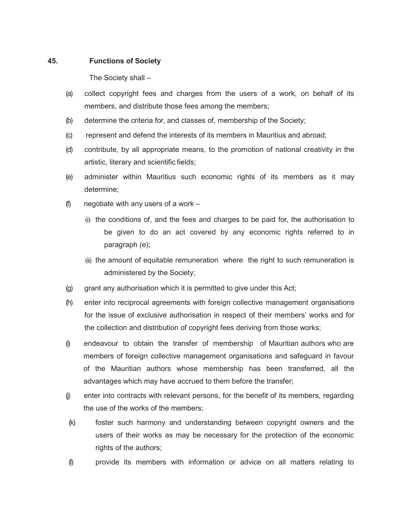## **45. Functions of Society**

The Society shall –

- (a) collect copyright fees and charges from the users of a work, on behalf of its members, and distribute those fees among the members;
- (b) determine the criteria for, and classes of, membership of the Society;
- (c) represent and defend the interests of its members in Mauritius and abroad;
- (d) contribute, by all appropriate means, to the promotion of national creativity in the artistic, literary and scientific fields;
- (e) administer within Mauritius such economic rights of its members as it may determine;
- (f) negotiate with any users of a work  $-$ 
	- (i) the conditions of, and the fees and charges to be paid for, the authorisation to be given to do an act covered by any economic rights referred to in paragraph (e);
	- (ii) the amount of equitable remuneration where the right to such remuneration is administered by the Society;
- $(q)$  grant any authorisation which it is permitted to give under this Act;
- (h) enter into reciprocal agreements with foreign collective management organisations for the issue of exclusive authorisation in respect of their members' works and for the collection and distribution of copyright fees deriving from those works;
- (i) endeavour to obtain the transfer of membership of Mauritian authors who are members of foreign collective management organisations and safeguard in favour of the Mauritian authors whose membership has been transferred, all the advantages which may have accrued to them before the transfer;
- (j) enter into contracts with relevant persons, for the benefit of its members, regarding the use of the works of the members;
- (k) foster such harmony and understanding between copyright owners and the users of their works as may be necessary for the protection of the economic rights of the authors;
- (l) provide its members with information or advice on all matters relating to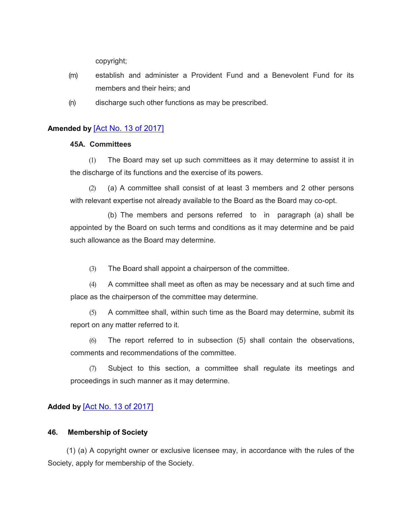copyright;

- (m) establish and administer a Provident Fund and a Benevolent Fund for its members and their heirs; and
- (n) discharge such other functions as may be prescribed.

# **Amended by** [\[Act No. 13 of 2017\]](https://supremecourt.govmu.org/get-doc-link/Act_No._13_of_2017)

### **45A. Committees**

(1) The Board may set up such committees as it may determine to assist it in the discharge of its functions and the exercise of its powers.

(2) (a) A committee shall consist of at least 3 members and 2 other persons with relevant expertise not already available to the Board as the Board may co-opt.

(b) The members and persons referred to in paragraph (a) shall be appointed by the Board on such terms and conditions as it may determine and be paid such allowance as the Board may determine.

(3) The Board shall appoint a chairperson of the committee.

(4) A committee shall meet as often as may be necessary and at such time and place as the chairperson of the committee may determine.

(5) A committee shall, within such time as the Board may determine, submit its report on any matter referred to it.

(6) The report referred to in subsection (5) shall contain the observations, comments and recommendations of the committee.

(7) Subject to this section, a committee shall regulate its meetings and proceedings in such manner as it may determine.

# **Added by** [\[Act No. 13 of 2017\]](https://supremecourt.govmu.org/get-doc-link/Act_No._13_of_2017)

## **46. Membership of Society**

(1) (a) A copyright owner or exclusive licensee may, in accordance with the rules of the Society, apply for membership of the Society.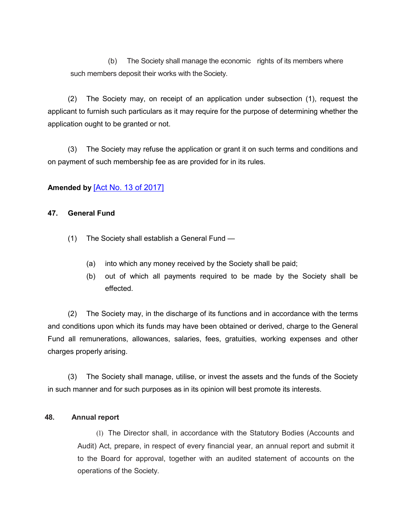(b) The Society shall manage the economic rights of its members where such members deposit their works with the Society.

(2) The Society may, on receipt of an application under subsection (1), request the applicant to furnish such particulars as it may require for the purpose of determining whether the application ought to be granted or not.

(3) The Society may refuse the application or grant it on such terms and conditions and on payment of such membership fee as are provided for in its rules.

# **Amended by** [\[Act No. 13 of 2017\]](https://supremecourt.govmu.org/get-doc-link/Act_No._13_of_2017)

## **47. General Fund**

- (1) The Society shall establish a General Fund
	- (a) into which any money received by the Society shall be paid;
	- (b) out of which all payments required to be made by the Society shall be effected.

(2) The Society may, in the discharge of its functions and in accordance with the terms and conditions upon which its funds may have been obtained or derived, charge to the General Fund all remunerations, allowances, salaries, fees, gratuities, working expenses and other charges properly arising.

(3) The Society shall manage, utilise, or invest the assets and the funds of the Society in such manner and for such purposes as in its opinion will best promote its interests.

### **48. Annual report**

(1) The Director shall, in accordance with the Statutory Bodies (Accounts and Audit) Act, prepare, in respect of every financial year, an annual report and submit it to the Board for approval, together with an audited statement of accounts on the operations of the Society.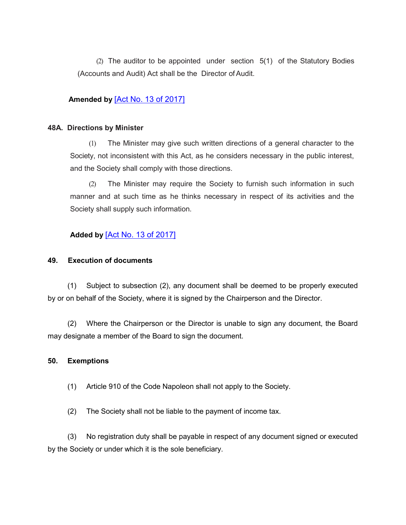(2) The auditor to be appointed under section 5(1) of the Statutory Bodies (Accounts and Audit) Act shall be the Director of Audit.

## **Amended by** [\[Act No. 13 of 2017\]](https://supremecourt.govmu.org/get-doc-link/Act_No._13_of_2017)

### **48A. Directions by Minister**

(1) The Minister may give such written directions of a general character to the Society, not inconsistent with this Act, as he considers necessary in the public interest, and the Society shall comply with those directions.

(2) The Minister may require the Society to furnish such information in such manner and at such time as he thinks necessary in respect of its activities and the Society shall supply such information.

# **Added by** [\[Act No. 13 of 2017\]](https://supremecourt.govmu.org/get-doc-link/Act_No._13_of_2017)

## **49. Execution of documents**

(1) Subject to subsection (2), any document shall be deemed to be properly executed by or on behalf of the Society, where it is signed by the Chairperson and the Director.

(2) Where the Chairperson or the Director is unable to sign any document, the Board may designate a member of the Board to sign the document.

### **50. Exemptions**

(1) Article 910 of the Code Napoleon shall not apply to the Society.

(2) The Society shall not be liable to the payment of income tax.

(3) No registration duty shall be payable in respect of any document signed or executed by the Society or under which it is the sole beneficiary.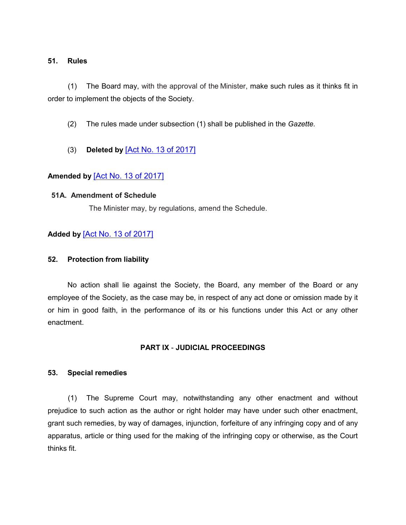### **51. Rules**

(1) The Board may, with the approval of the Minister, make such rules as it thinks fit in order to implement the objects of the Society.

(2) The rules made under subsection (1) shall be published in the *Gazette.*

(3) **Deleted by** [\[Act No. 13 of 2017\]](https://supremecourt.govmu.org/get-doc-link/Act_No._13_of_2017)

## **Amended by** [\[Act No. 13 of 2017\]](https://supremecourt.govmu.org/get-doc-link/Act_No._13_of_2017)

#### **51A. Amendment of Schedule**

The Minister may, by regulations, amend the Schedule.

## **Added by** [\[Act No. 13 of 2017\]](https://supremecourt.govmu.org/get-doc-link/Act_No._13_of_2017)

#### **52. Protection from liability**

No action shall lie against the Society, the Board, any member of the Board or any employee of the Society, as the case may be, in respect of any act done or omission made by it or him in good faith, in the performance of its or his functions under this Act or any other enactment.

### **PART IX** - **JUDICIAL PROCEEDINGS**

#### **53. Special remedies**

(1) The Supreme Court may, notwithstanding any other enactment and without prejudice to such action as the author or right holder may have under such other enactment, grant such remedies, by way of damages, injunction, forfeiture of any infringing copy and of any apparatus, article or thing used for the making of the infringing copy or otherwise, as the Court thinks fit.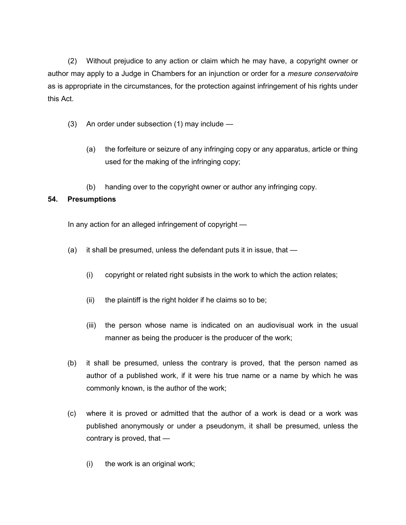(2) Without prejudice to any action or claim which he may have, a copyright owner or author may apply to a Judge in Chambers for an injunction or order for a *mesure conservatoire*  as is appropriate in the circumstances, for the protection against infringement of his rights under this Act.

- (3) An order under subsection (1) may include
	- (a) the forfeiture or seizure of any infringing copy or any apparatus, article or thing used for the making of the infringing copy;
	- (b) handing over to the copyright owner or author any infringing copy.

# **54. Presumptions**

In any action for an alleged infringement of copyright —

- (a) it shall be presumed, unless the defendant puts it in issue, that
	- (i) copyright or related right subsists in the work to which the action relates;
	- (ii) the plaintiff is the right holder if he claims so to be;
	- (iii) the person whose name is indicated on an audiovisual work in the usual manner as being the producer is the producer of the work;
- (b) it shall be presumed, unless the contrary is proved, that the person named as author of a published work, if it were his true name or a name by which he was commonly known, is the author of the work;
- (c) where it is proved or admitted that the author of a work is dead or a work was published anonymously or under a pseudonym, it shall be presumed, unless the contrary is proved, that —
	- (i) the work is an original work;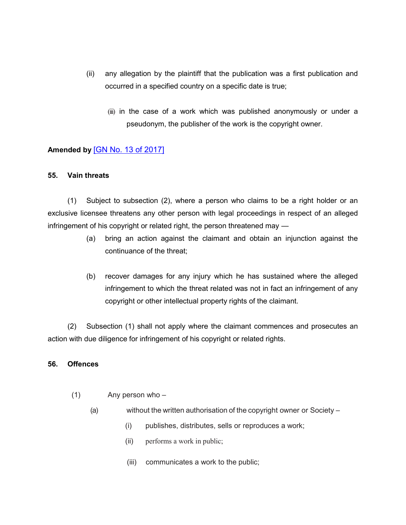- (ii) any allegation by the plaintiff that the publication was a first publication and occurred in a specified country on a specific date is true;
	- (iii) in the case of a work which was published anonymously or under a pseudonym, the publisher of the work is the copyright owner.

# **Amended by** [\[GN No. 13 of 2017\]](https://supremecourt.govmu.org/get-doc-link/GN_No._13_of_2017)

### **55. Vain threats**

(1) Subject to subsection (2), where a person who claims to be a right holder or an exclusive licensee threatens any other person with legal proceedings in respect of an alleged infringement of his copyright or related right, the person threatened may —

- (a) bring an action against the claimant and obtain an injunction against the continuance of the threat;
- (b) recover damages for any injury which he has sustained where the alleged infringement to which the threat related was not in fact an infringement of any copyright or other intellectual property rights of the claimant.

(2) Subsection (1) shall not apply where the claimant commences and prosecutes an action with due diligence for infringement of his copyright or related rights.

### **56. Offences**

- (1) Any person who
	- (a) without the written authorisation of the copyright owner or Society
		- (i) publishes, distributes, sells or reproduces a work;
		- (ii) performs a work in public;
		- (iii) communicates a work to the public;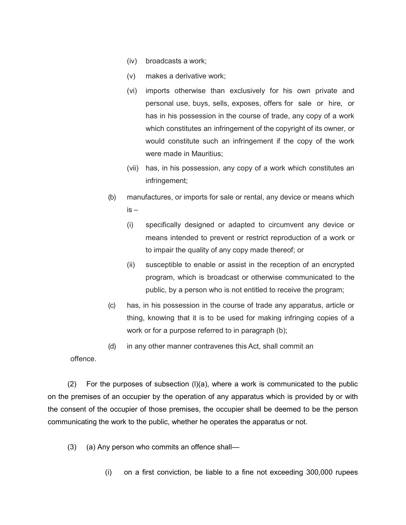- (iv) broadcasts a work;
- (v) makes a derivative work;
- (vi) imports otherwise than exclusively for his own private and personal use, buys, sells, exposes, offers for sale or hire, or has in his possession in the course of trade, any copy of a work which constitutes an infringement of the copyright of its owner, or would constitute such an infringement if the copy of the work were made in Mauritius;
- (vii) has, in his possession, any copy of a work which constitutes an infringement;
- (b) manufactures, or imports for sale or rental, any device or means which  $is -$ 
	- (i) specifically designed or adapted to circumvent any device or means intended to prevent or restrict reproduction of a work or to impair the quality of any copy made thereof; or
	- (ii) susceptible to enable or assist in the reception of an encrypted program, which is broadcast or otherwise communicated to the public, by a person who is not entitled to receive the program;
- (c) has, in his possession in the course of trade any apparatus, article or thing, knowing that it is to be used for making infringing copies of a work or for a purpose referred to in paragraph (b);
- (d) in any other manner contravenes this Act, shall commit an

offence.

(2) For the purposes of subsection  $(I)(a)$ , where a work is communicated to the public on the premises of an occupier by the operation of any apparatus which is provided by or with the consent of the occupier of those premises, the occupier shall be deemed to be the person communicating the work to the public, whether he operates the apparatus or not.

(3) (a) Any person who commits an offence shall—

(i) on a first conviction, be liable to a fine not exceeding 300,000 rupees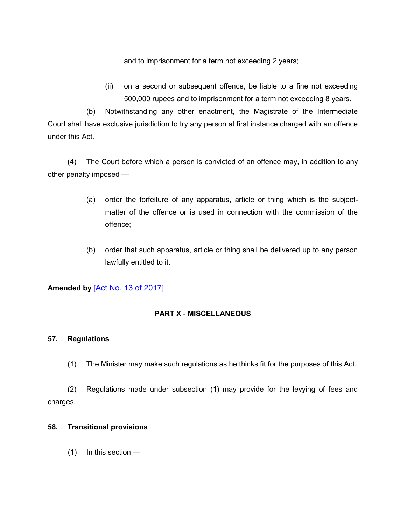and to imprisonment for a term not exceeding 2 years;

(ii) on a second or subsequent offence, be liable to a fine not exceeding 500,000 rupees and to imprisonment for a term not exceeding 8 years.

(b) Notwithstanding any other enactment, the Magistrate of the Intermediate Court shall have exclusive jurisdiction to try any person at first instance charged with an offence under this Act.

(4) The Court before which a person is convicted of an offence may, in addition to any other penalty imposed —

- (a) order the forfeiture of any apparatus, article or thing which is the subjectmatter of the offence or is used in connection with the commission of the offence;
- (b) order that such apparatus, article or thing shall be delivered up to any person lawfully entitled to it.

# **Amended by** [\[Act No. 13](https://supremecourt.govmu.org/get-doc-link/Act_No._13_of_2017) of 2017]

# **PART X** - **MISCELLANEOUS**

## **57. Regulations**

(1) The Minister may make such regulations as he thinks fit for the purposes of this Act.

(2) Regulations made under subsection (1) may provide for the levying of fees and charges.

## **58. Transitional provisions**

(1) In this section —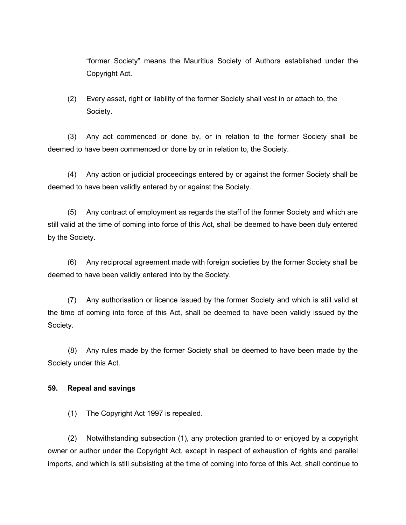"former Society" means the Mauritius Society of Authors established under the Copyright Act.

(2) Every asset, right or liability of the former Society shall vest in or attach to, the Society.

(3) Any act commenced or done by, or in relation to the former Society shall be deemed to have been commenced or done by or in relation to, the Society.

(4) Any action or judicial proceedings entered by or against the former Society shall be deemed to have been validly entered by or against the Society.

(5) Any contract of employment as regards the staff of the former Society and which are still valid at the time of coming into force of this Act, shall be deemed to have been duly entered by the Society.

(6) Any reciprocal agreement made with foreign societies by the former Society shall be deemed to have been validly entered into by the Society.

(7) Any authorisation or licence issued by the former Society and which is still valid at the time of coming into force of this Act, shall be deemed to have been validly issued by the Society.

(8) Any rules made by the former Society shall be deemed to have been made by the Society under this Act.

## **59. Repeal and savings**

(1) The Copyright Act 1997 is repealed.

(2) Notwithstanding subsection (1), any protection granted to or enjoyed by a copyright owner or author under the Copyright Act, except in respect of exhaustion of rights and parallel imports, and which is still subsisting at the time of coming into force of this Act, shall continue to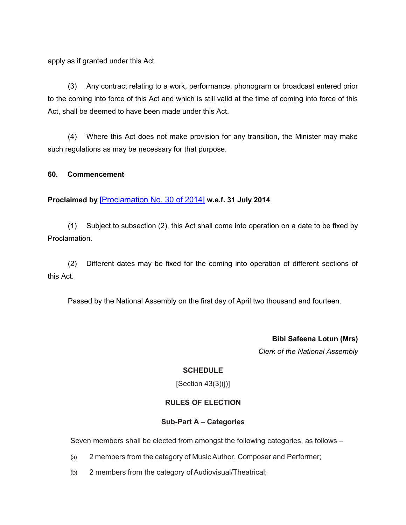apply as if granted under this Act.

(3) Any contract relating to a work, performance, phonograrn or broadcast entered prior to the coming into force of this Act and which is still valid at the time of coming into force of this Act, shall be deemed to have been made under this Act.

(4) Where this Act does not make provision for any transition, the Minister may make such regulations as may be necessary for that purpose.

### **60. Commencement**

## **Proclaimed by** [\[Proclamation No. 30 of 2014\]](https://supremecourt.govmu.org/get-doc-link/Proclamation_No._30_of_2014) **w.e.f. 31 July 2014**

(1) Subject to subsection (2), this Act shall come into operation on a date to be fixed by Proclamation.

(2) Different dates may be fixed for the coming into operation of different sections of this Act.

Passed by the National Assembly on the first day of April two thousand and fourteen.

**Bibi Safeena Lotun (Mrs)** *Clerk of the National Assembly*

## **SCHEDULE**

[Section 43(3)(j)]

## **RULES OF ELECTION**

### **Sub-Part A – Categories**

Seven members shall be elected from amongst the following categories, as follows –

- (a) 2 members from the category of Music Author, Composer and Performer;
- (b) 2 members from the category of Audiovisual/Theatrical;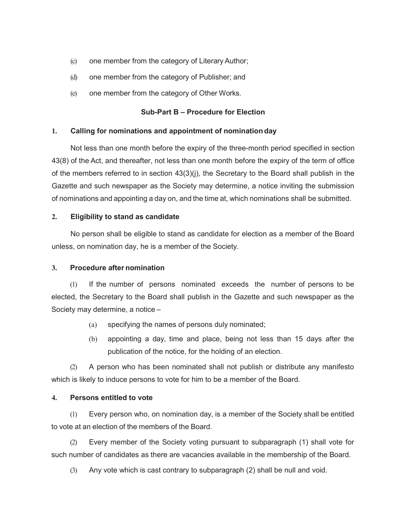- (c) one member from the category of Literary Author;
- (d) one member from the category of Publisher; and
- (e) one member from the category of Other Works.

## **Sub-Part B – Procedure for Election**

### **1. Calling for nominations and appointment of nominationday**

Not less than one month before the expiry of the three-month period specified in section 43(8) of the Act, and thereafter, not less than one month before the expiry of the term of office of the members referred to in section 43(3)(j), the Secretary to the Board shall publish in the Gazette and such newspaper as the Society may determine, a notice inviting the submission of nominations and appointing a day on, and the time at, which nominations shall be submitted.

## **2. Eligibility to stand as candidate**

No person shall be eligible to stand as candidate for election as a member of the Board unless, on nomination day, he is a member of the Society.

## **3. Procedure after nomination**

(1) If the number of persons nominated exceeds the number of persons to be elected, the Secretary to the Board shall publish in the Gazette and such newspaper as the Society may determine, a notice –

- (a) specifying the names of persons duly nominated;
- (b) appointing a day, time and place, being not less than 15 days after the publication of the notice, for the holding of an election.

(2) A person who has been nominated shall not publish or distribute any manifesto which is likely to induce persons to vote for him to be a member of the Board.

## **4. Persons entitled to vote**

(1) Every person who, on nomination day, is a member of the Society shall be entitled to vote at an election of the members of the Board.

(2) Every member of the Society voting pursuant to subparagraph (1) shall vote for such number of candidates as there are vacancies available in the membership of the Board.

(3) Any vote which is cast contrary to subparagraph (2) shall be null and void.